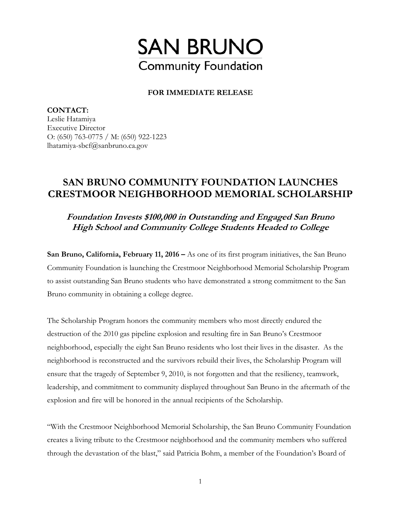

## **FOR IMMEDIATE RELEASE**

**CONTACT:**  Leslie Hatamiya Executive Director O: (650) 763-0775 / M: (650) 922-1223 lhatamiya-sbcf@sanbruno.ca.gov

## **SAN BRUNO COMMUNITY FOUNDATION LAUNCHES CRESTMOOR NEIGHBORHOOD MEMORIAL SCHOLARSHIP**

## **Foundation Invests \$100,000 in Outstanding and Engaged San Bruno High School and Community College Students Headed to College**

**San Bruno, California, February 11, 2016 –** As one of its first program initiatives, the San Bruno Community Foundation is launching the Crestmoor Neighborhood Memorial Scholarship Program to assist outstanding San Bruno students who have demonstrated a strong commitment to the San Bruno community in obtaining a college degree.

The Scholarship Program honors the community members who most directly endured the destruction of the 2010 gas pipeline explosion and resulting fire in San Bruno's Crestmoor neighborhood, especially the eight San Bruno residents who lost their lives in the disaster. As the neighborhood is reconstructed and the survivors rebuild their lives, the Scholarship Program will ensure that the tragedy of September 9, 2010, is not forgotten and that the resiliency, teamwork, leadership, and commitment to community displayed throughout San Bruno in the aftermath of the explosion and fire will be honored in the annual recipients of the Scholarship.

"With the Crestmoor Neighborhood Memorial Scholarship, the San Bruno Community Foundation creates a living tribute to the Crestmoor neighborhood and the community members who suffered through the devastation of the blast," said Patricia Bohm, a member of the Foundation's Board of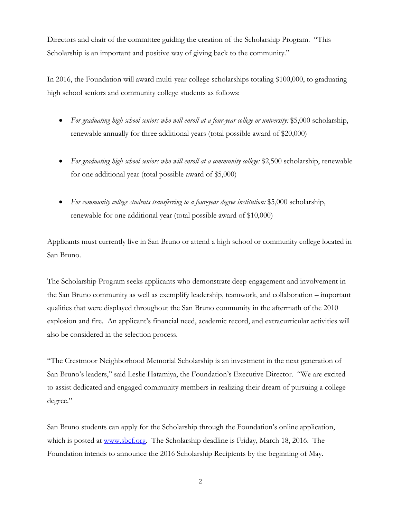Directors and chair of the committee guiding the creation of the Scholarship Program. "This Scholarship is an important and positive way of giving back to the community."

In 2016, the Foundation will award multi-year college scholarships totaling \$100,000, to graduating high school seniors and community college students as follows:

- *For graduating high school seniors who will enroll at a four-year college or university:* \$5,000 scholarship, renewable annually for three additional years (total possible award of \$20,000)
- *For graduating high school seniors who will enroll at a community college:* \$2,500 scholarship, renewable for one additional year (total possible award of \$5,000)
- *For community college students transferring to a four-year degree institution:* \$5,000 scholarship, renewable for one additional year (total possible award of \$10,000)

Applicants must currently live in San Bruno or attend a high school or community college located in San Bruno.

The Scholarship Program seeks applicants who demonstrate deep engagement and involvement in the San Bruno community as well as exemplify leadership, teamwork, and collaboration – important qualities that were displayed throughout the San Bruno community in the aftermath of the 2010 explosion and fire. An applicant's financial need, academic record, and extracurricular activities will also be considered in the selection process.

"The Crestmoor Neighborhood Memorial Scholarship is an investment in the next generation of San Bruno's leaders," said Leslie Hatamiya, the Foundation's Executive Director. "We are excited to assist dedicated and engaged community members in realizing their dream of pursuing a college degree."

San Bruno students can apply for the Scholarship through the Foundation's online application, which is posted at www.sbcf.org. The Scholarship deadline is Friday, March 18, 2016. The Foundation intends to announce the 2016 Scholarship Recipients by the beginning of May.